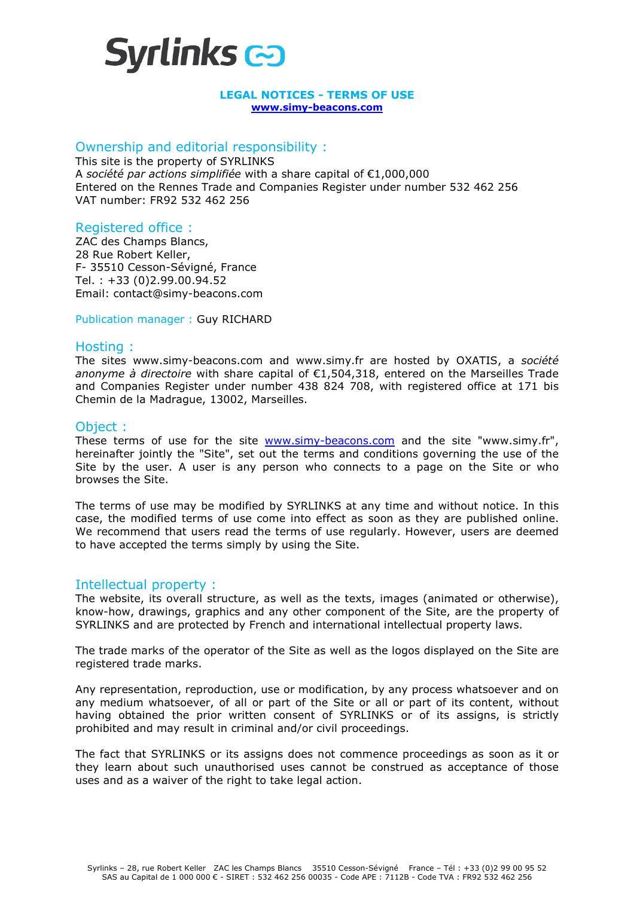

#### **LEGAL NOTICES - TERMS OF USE www.simy-beacons.com**

#### Ownership and editorial responsibility :

This site is the property of SYRLINKS A *société par actions simplifiée* with a share capital of €1,000,000 Entered on the Rennes Trade and Companies Register under number 532 462 256 VAT number: FR92 532 462 256

# Registered office :

ZAC des Champs Blancs, 28 Rue Robert Keller, F- 35510 Cesson-Sévigné, France Tel. : +33 (0)2.99.00.94.52 Email: contact@simy-beacons.com

#### Publication manager : Guy RICHARD

## Hosting :

The sites www.simy-beacons.com and www.simy.fr are hosted by OXATIS, a *société anonyme à directoire* with share capital of €1,504,318, entered on the Marseilles Trade and Companies Register under number 438 824 708, with registered office at 171 bis Chemin de la Madrague, 13002, Marseilles.

## Object :

These terms of use for the site www.simy-beacons.com and the site "www.simy.fr", hereinafter jointly the "Site", set out the terms and conditions governing the use of the Site by the user. A user is any person who connects to a page on the Site or who browses the Site.

The terms of use may be modified by SYRLINKS at any time and without notice. In this case, the modified terms of use come into effect as soon as they are published online. We recommend that users read the terms of use regularly. However, users are deemed to have accepted the terms simply by using the Site.

## Intellectual property :

The website, its overall structure, as well as the texts, images (animated or otherwise), know-how, drawings, graphics and any other component of the Site, are the property of SYRLINKS and are protected by French and international intellectual property laws.

The trade marks of the operator of the Site as well as the logos displayed on the Site are registered trade marks.

Any representation, reproduction, use or modification, by any process whatsoever and on any medium whatsoever, of all or part of the Site or all or part of its content, without having obtained the prior written consent of SYRLINKS or of its assigns, is strictly prohibited and may result in criminal and/or civil proceedings.

The fact that SYRLINKS or its assigns does not commence proceedings as soon as it or they learn about such unauthorised uses cannot be construed as acceptance of those uses and as a waiver of the right to take legal action.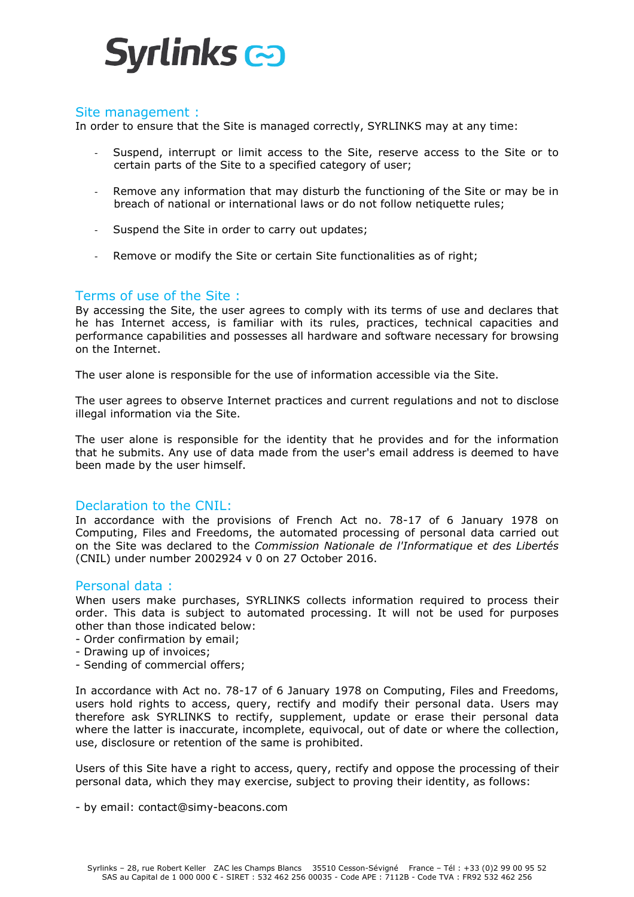

## Site management :

In order to ensure that the Site is managed correctly, SYRLINKS may at any time:

- Suspend, interrupt or limit access to the Site, reserve access to the Site or to certain parts of the Site to a specified category of user;
- Remove any information that may disturb the functioning of the Site or may be in breach of national or international laws or do not follow netiquette rules;
- Suspend the Site in order to carry out updates;
- Remove or modify the Site or certain Site functionalities as of right;

# Terms of use of the Site :

By accessing the Site, the user agrees to comply with its terms of use and declares that he has Internet access, is familiar with its rules, practices, technical capacities and performance capabilities and possesses all hardware and software necessary for browsing on the Internet.

The user alone is responsible for the use of information accessible via the Site.

The user agrees to observe Internet practices and current regulations and not to disclose illegal information via the Site.

The user alone is responsible for the identity that he provides and for the information that he submits. Any use of data made from the user's email address is deemed to have been made by the user himself.

## Declaration to the CNIL:

In accordance with the provisions of French Act no. 78-17 of 6 January 1978 on Computing, Files and Freedoms, the automated processing of personal data carried out on the Site was declared to the *Commission Nationale de l'Informatique et des Libertés* (CNIL) under number 2002924 v 0 on 27 October 2016.

## Personal data :

When users make purchases, SYRLINKS collects information required to process their order. This data is subject to automated processing. It will not be used for purposes other than those indicated below:

- Order confirmation by email;
- Drawing up of invoices;
- Sending of commercial offers;

In accordance with Act no. 78-17 of 6 January 1978 on Computing, Files and Freedoms, users hold rights to access, query, rectify and modify their personal data. Users may therefore ask SYRLINKS to rectify, supplement, update or erase their personal data where the latter is inaccurate, incomplete, equivocal, out of date or where the collection, use, disclosure or retention of the same is prohibited.

Users of this Site have a right to access, query, rectify and oppose the processing of their personal data, which they may exercise, subject to proving their identity, as follows:

- by email: contact@simy-beacons.com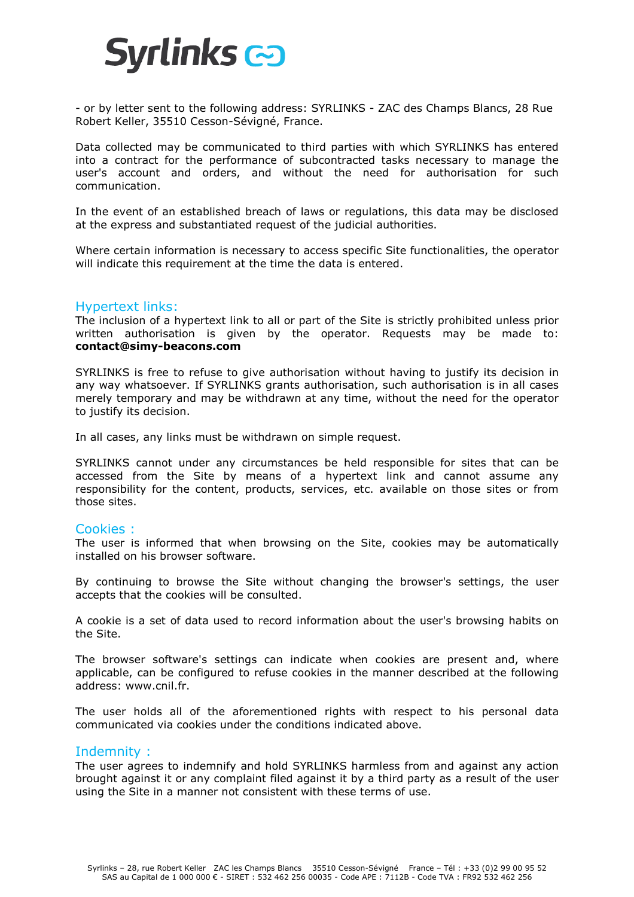

- or by letter sent to the following address: SYRLINKS - ZAC des Champs Blancs, 28 Rue Robert Keller, 35510 Cesson-Sévigné, France.

Data collected may be communicated to third parties with which SYRLINKS has entered into a contract for the performance of subcontracted tasks necessary to manage the user's account and orders, and without the need for authorisation for such communication.

In the event of an established breach of laws or regulations, this data may be disclosed at the express and substantiated request of the judicial authorities.

Where certain information is necessary to access specific Site functionalities, the operator will indicate this requirement at the time the data is entered.

# Hypertext links:

The inclusion of a hypertext link to all or part of the Site is strictly prohibited unless prior written authorisation is given by the operator. Requests may be made to: **contact@simy-beacons.com**

SYRLINKS is free to refuse to give authorisation without having to justify its decision in any way whatsoever. If SYRLINKS grants authorisation, such authorisation is in all cases merely temporary and may be withdrawn at any time, without the need for the operator to justify its decision.

In all cases, any links must be withdrawn on simple request.

SYRLINKS cannot under any circumstances be held responsible for sites that can be accessed from the Site by means of a hypertext link and cannot assume any responsibility for the content, products, services, etc. available on those sites or from those sites.

## Cookies :

The user is informed that when browsing on the Site, cookies may be automatically installed on his browser software.

By continuing to browse the Site without changing the browser's settings, the user accepts that the cookies will be consulted.

A cookie is a set of data used to record information about the user's browsing habits on the Site.

The browser software's settings can indicate when cookies are present and, where applicable, can be configured to refuse cookies in the manner described at the following address: www.cnil.fr.

The user holds all of the aforementioned rights with respect to his personal data communicated via cookies under the conditions indicated above.

## Indemnity :

The user agrees to indemnify and hold SYRLINKS harmless from and against any action brought against it or any complaint filed against it by a third party as a result of the user using the Site in a manner not consistent with these terms of use.